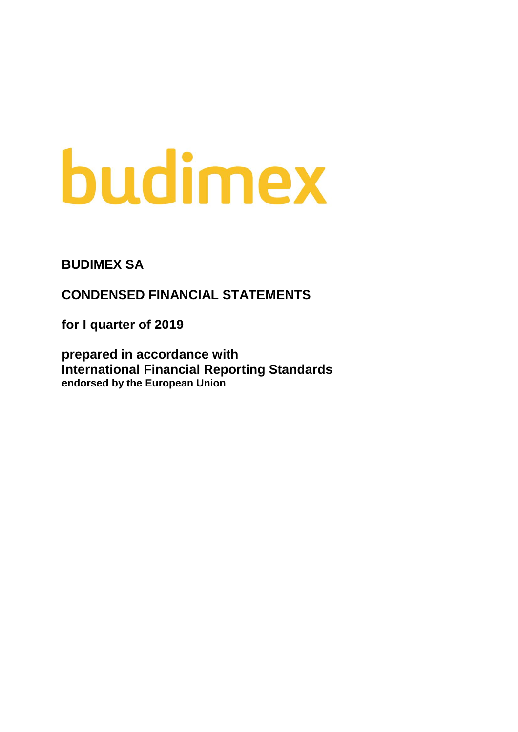# budimex

**BUDIMEX SA**

**CONDENSED FINANCIAL STATEMENTS**

**for I quarter of 2019**

**prepared in accordance with International Financial Reporting Standards endorsed by the European Union**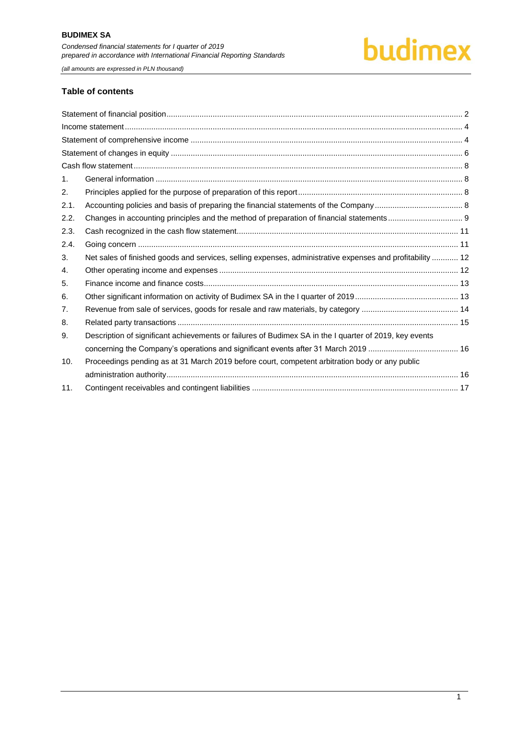*(all amounts are expressed in PLN thousand)*

#### **Table of contents**

| $\mathbf{1}$ . |                                                                                                           |  |
|----------------|-----------------------------------------------------------------------------------------------------------|--|
| 2.             |                                                                                                           |  |
| 2.1.           |                                                                                                           |  |
| 2.2.           |                                                                                                           |  |
| 2.3.           |                                                                                                           |  |
| 2.4.           |                                                                                                           |  |
| 3.             | Net sales of finished goods and services, selling expenses, administrative expenses and profitability  12 |  |
| 4.             |                                                                                                           |  |
| 5.             |                                                                                                           |  |
| 6.             |                                                                                                           |  |
| 7.             |                                                                                                           |  |
| 8.             |                                                                                                           |  |
| 9.             | Description of significant achievements or failures of Budimex SA in the I quarter of 2019, key events    |  |
|                |                                                                                                           |  |
| 10.            | Proceedings pending as at 31 March 2019 before court, competent arbitration body or any public            |  |
|                |                                                                                                           |  |
| 11.            |                                                                                                           |  |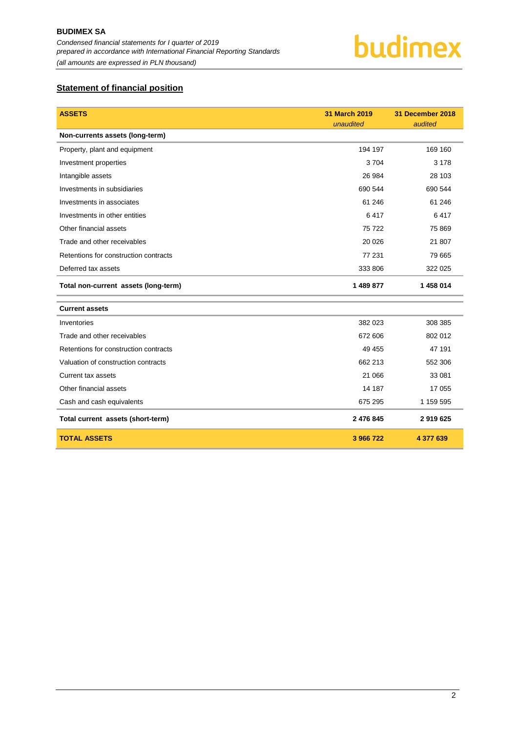### <span id="page-2-0"></span>**Statement of financial position**

| <b>ASSETS</b>                         | 31 March 2019<br>unaudited | 31 December 2018<br>audited |
|---------------------------------------|----------------------------|-----------------------------|
| Non-currents assets (long-term)       |                            |                             |
| Property, plant and equipment         | 194 197                    | 169 160                     |
| Investment properties                 | 3704                       | 3 1 7 8                     |
| Intangible assets                     | 26 984                     | 28 103                      |
| Investments in subsidiaries           | 690 544                    | 690 544                     |
| Investments in associates             | 61 24 6                    | 61 24 6                     |
| Investments in other entities         | 6417                       | 6417                        |
| Other financial assets                | 75722                      | 75 869                      |
| Trade and other receivables           | 20 0 26                    | 21 807                      |
| Retentions for construction contracts | 77 231                     | 79 665                      |
| Deferred tax assets                   | 333 806                    | 322 025                     |
| Total non-current assets (long-term)  | 1 489 877                  | 1 458 014                   |
| <b>Current assets</b>                 |                            |                             |
| Inventories                           | 382 023                    | 308 385                     |
| Trade and other receivables           | 672 606                    | 802 012                     |
| Retentions for construction contracts | 49 455                     | 47 191                      |
| Valuation of construction contracts   | 662 213                    | 552 306                     |
| <b>Current tax assets</b>             | 21 066                     | 33 081                      |
| Other financial assets                | 14 187                     | 17 055                      |
| Cash and cash equivalents             | 675 295                    | 1 159 595                   |
| Total current assets (short-term)     | 2 476 845                  | 2919625                     |
| <b>TOTAL ASSETS</b>                   | 3 966 722                  | 4 377 639                   |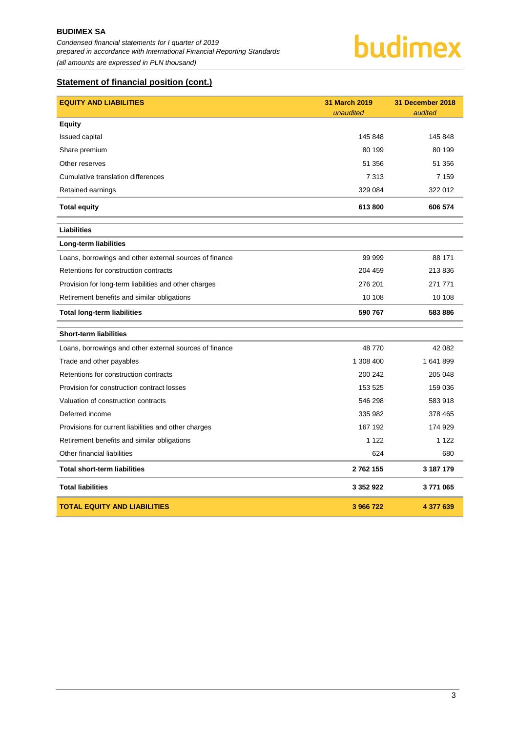*Condensed financial statements for I quarter of 2019 prepared in accordance with International Financial Reporting Standards (all amounts are expressed in PLN thousand)*

#### **Statement of financial position (cont.)**

| <b>EQUITY AND LIABILITIES</b>                           | 31 March 2019<br>unaudited | 31 December 2018<br>audited |
|---------------------------------------------------------|----------------------------|-----------------------------|
| <b>Equity</b>                                           |                            |                             |
| <b>Issued capital</b>                                   | 145 848                    | 145 848                     |
| Share premium                                           | 80 199                     | 80 199                      |
| Other reserves                                          | 51 356                     | 51 356                      |
| Cumulative translation differences                      | 7313                       | 7 1 5 9                     |
| Retained earnings                                       | 329 084                    | 322 012                     |
| <b>Total equity</b>                                     | 613800                     | 606 574                     |
| <b>Liabilities</b>                                      |                            |                             |
| Long-term liabilities                                   |                            |                             |
| Loans, borrowings and other external sources of finance | 99 999                     | 88 171                      |
| Retentions for construction contracts                   | 204 459                    | 213 836                     |
| Provision for long-term liabilities and other charges   | 276 201                    | 271 771                     |
| Retirement benefits and similar obligations             | 10 108                     | 10 108                      |
| <b>Total long-term liabilities</b>                      | 590 767                    | 583886                      |
| <b>Short-term liabilities</b>                           |                            |                             |
| Loans, borrowings and other external sources of finance | 48770                      | 42 082                      |
| Trade and other payables                                | 1 308 400                  | 1641899                     |
| Retentions for construction contracts                   | 200 242                    | 205 048                     |
| Provision for construction contract losses              | 153 525                    | 159 036                     |
| Valuation of construction contracts                     | 546 298                    | 583 918                     |
| Deferred income                                         | 335 982                    | 378 465                     |
| Provisions for current liabilities and other charges    | 167 192                    | 174 929                     |
| Retirement benefits and similar obligations             | 1 1 2 2                    | 1 1 2 2                     |
| Other financial liabilities                             | 624                        | 680                         |
| <b>Total short-term liabilities</b>                     | 2762155                    | 3 187 179                   |
| <b>Total liabilities</b>                                | 3 3 5 2 9 2 2              | 3771065                     |
| <b>TOTAL EQUITY AND LIABILITIES</b>                     | 3 966 722                  | 4 377 639                   |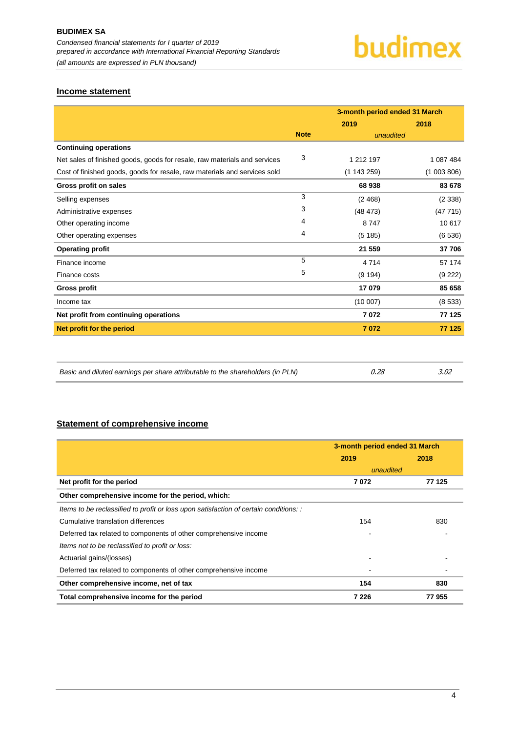#### <span id="page-4-0"></span>**Income statement**

|                                                                           |             | 3-month period ended 31 March |           |  |
|---------------------------------------------------------------------------|-------------|-------------------------------|-----------|--|
|                                                                           |             | 2019                          | 2018      |  |
|                                                                           | <b>Note</b> | unaudited                     |           |  |
| <b>Continuing operations</b>                                              |             |                               |           |  |
| Net sales of finished goods, goods for resale, raw materials and services | 3           | 1 212 197                     | 1 087 484 |  |
| Cost of finished goods, goods for resale, raw materials and services sold |             | (1143259)                     | (1003806) |  |
| Gross profit on sales                                                     |             | 68938                         | 83 678    |  |
| Selling expenses                                                          | 3           | (2468)                        | (2338)    |  |
| Administrative expenses                                                   | 3           | (48473)                       | (47715)   |  |
| Other operating income                                                    | 4           | 8747                          | 10 617    |  |
| Other operating expenses                                                  | 4           | (5185)                        | (6536)    |  |
| <b>Operating profit</b>                                                   |             | 21 559                        | 37 706    |  |
| Finance income                                                            | 5           | 4714                          | 57 174    |  |
| Finance costs                                                             | 5           | (9 194)                       | (9 222)   |  |
| <b>Gross profit</b>                                                       |             | 17 079                        | 85 658    |  |
| Income tax                                                                |             | (10007)                       | (8533)    |  |
| Net profit from continuing operations                                     |             | 7072                          | 77 125    |  |
| Net profit for the period                                                 |             | 7072                          | 77 125    |  |
|                                                                           |             |                               |           |  |
|                                                                           |             |                               |           |  |

| Basic and diluted earnings per share attributable to the shareholders (in PLN) | 0.28 | 3.02 |
|--------------------------------------------------------------------------------|------|------|
|--------------------------------------------------------------------------------|------|------|

#### <span id="page-4-1"></span>**Statement of comprehensive income**

|                                                                                       | 3-month period ended 31 March |        |  |
|---------------------------------------------------------------------------------------|-------------------------------|--------|--|
|                                                                                       | 2019                          | 2018   |  |
|                                                                                       | unaudited                     |        |  |
| Net profit for the period                                                             | 7072                          | 77 125 |  |
| Other comprehensive income for the period, which:                                     |                               |        |  |
| Items to be reclassified to profit or loss upon satisfaction of certain conditions: : |                               |        |  |
| Cumulative translation differences                                                    | 154                           | 830    |  |
| Deferred tax related to components of other comprehensive income                      |                               |        |  |
| Items not to be reclassified to profit or loss:                                       |                               |        |  |
| Actuarial gains/(losses)                                                              |                               |        |  |
| Deferred tax related to components of other comprehensive income                      |                               |        |  |
| Other comprehensive income, net of tax                                                | 154                           | 830    |  |
| Total comprehensive income for the period                                             | 7 2 2 6                       | 77955  |  |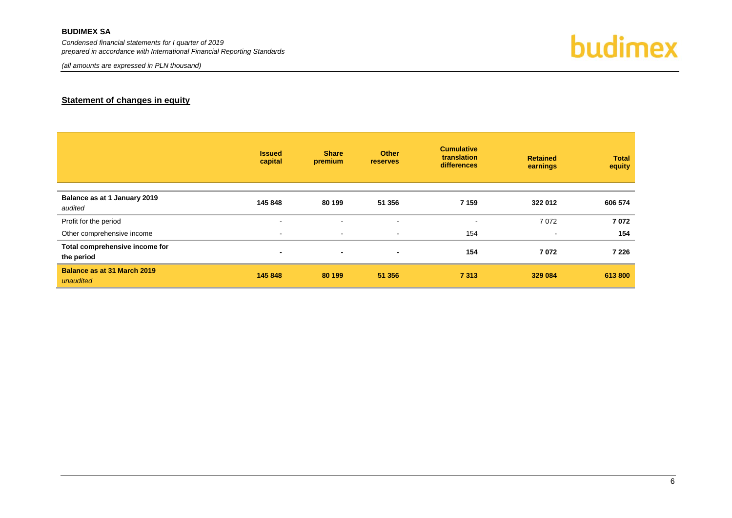*Condensed financial statements for I quarter of 2019 prepared in accordance with International Financial Reporting Standards*

*(all amounts are expressed in PLN thousand)*



#### **Statement of changes in equity**

<span id="page-5-0"></span>

|                                              | <b>Issued</b><br>capital | <b>Share</b><br>premium | <b>Other</b><br><b>reserves</b> | <b>Cumulative</b><br>translation<br>differences | <b>Retained</b><br>earnings | <b>Total</b><br>equity |
|----------------------------------------------|--------------------------|-------------------------|---------------------------------|-------------------------------------------------|-----------------------------|------------------------|
| Balance as at 1 January 2019<br>audited      | 145 848                  | 80 199                  | 51 356                          | 7 1 5 9                                         | 322 012                     | 606 574                |
| Profit for the period                        | $\sim$                   | $\blacksquare$          | ٠                               | $\overline{\phantom{a}}$                        | 7072                        | 7072                   |
| Other comprehensive income                   | $\overline{\phantom{a}}$ | $\sim$                  | ٠                               | 154                                             | $\blacksquare$              | 154                    |
| Total comprehensive income for<br>the period | $\overline{\phantom{a}}$ | ۰                       | $\blacksquare$                  | 154                                             | 7072                        | 7 2 2 6                |
| Balance as at 31 March 2019<br>unaudited     | 145 848                  | 80 199                  | 51 356                          | 7313                                            | 329 084                     | 613 800                |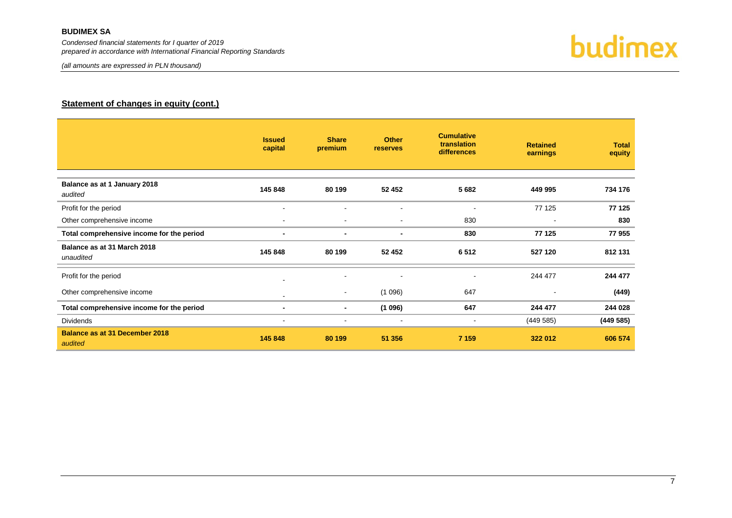*Condensed financial statements for I quarter of 2019 prepared in accordance with International Financial Reporting Standards*

*(all amounts are expressed in PLN thousand)*



#### **Statement of changes in equity (cont.)**

|                                                  | <b>Issued</b><br>capital | <b>Share</b><br>premium  | <b>Other</b><br>reserves | <b>Cumulative</b><br>translation<br>differences | <b>Retained</b><br>earnings | <b>Total</b><br>equity |
|--------------------------------------------------|--------------------------|--------------------------|--------------------------|-------------------------------------------------|-----------------------------|------------------------|
| Balance as at 1 January 2018<br>audited          | 145 848                  | 80 199                   | 52 452                   | 5 6 8 2                                         | 449 995                     | 734 176                |
| Profit for the period                            | $\overline{\phantom{a}}$ |                          | $\blacksquare$           | $\overline{\phantom{a}}$                        | 77 125                      | 77 125                 |
| Other comprehensive income                       | $\blacksquare$           | $\overline{\phantom{a}}$ | $\blacksquare$           | 830                                             |                             | 830                    |
| Total comprehensive income for the period        |                          | $\blacksquare$           | $\blacksquare$           | 830                                             | 77 125                      | 77955                  |
| Balance as at 31 March 2018<br>unaudited         | 145 848                  | 80 199                   | 52 452                   | 6512                                            | 527 120                     | 812 131                |
| Profit for the period                            |                          |                          | $\blacksquare$           | $\blacksquare$                                  | 244 477                     | 244 477                |
| Other comprehensive income                       | $\blacksquare$           | ٠                        | (1096)                   | 647                                             |                             | (449)                  |
| Total comprehensive income for the period        |                          | ۰.                       | (1096)                   | 647                                             | 244 477                     | 244 028                |
| <b>Dividends</b>                                 | $\blacksquare$           | ۰                        | $\blacksquare$           | $\sim$                                          | (449585)                    | (449585)               |
| <b>Balance as at 31 December 2018</b><br>audited | 145 848                  | 80 199                   | 51 356                   | 7 1 5 9                                         | 322 012                     | 606 574                |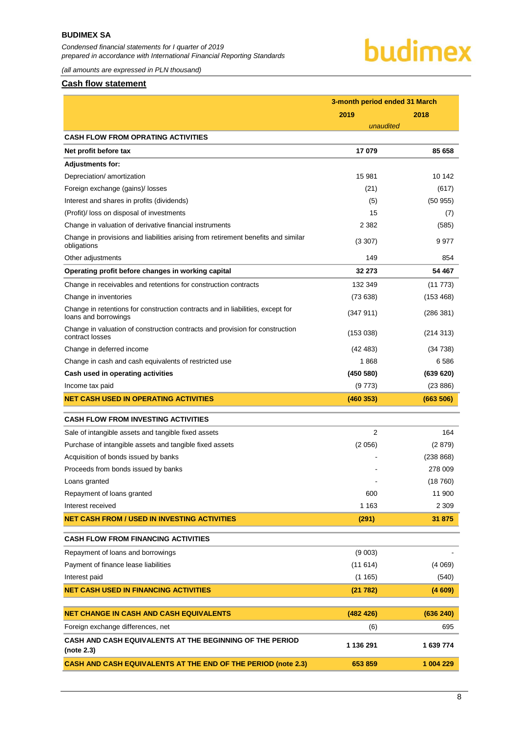*Condensed financial statements for I quarter of 2019 prepared in accordance with International Financial Reporting Standards*



*(all amounts are expressed in PLN thousand)*

#### <span id="page-7-0"></span>**Cash flow statement**

|                                                                                                        | 3-month period ended 31 March |           |  |
|--------------------------------------------------------------------------------------------------------|-------------------------------|-----------|--|
|                                                                                                        | 2019                          | 2018      |  |
|                                                                                                        | unaudited                     |           |  |
| <b>CASH FLOW FROM OPRATING ACTIVITIES</b>                                                              |                               |           |  |
| Net profit before tax                                                                                  | 17079                         | 85 658    |  |
| <b>Adjustments for:</b>                                                                                |                               |           |  |
| Depreciation/ amortization                                                                             | 15 981                        | 10 142    |  |
| Foreign exchange (gains)/ losses                                                                       | (21)                          | (617)     |  |
| Interest and shares in profits (dividends)                                                             | (5)                           | (50955)   |  |
| (Profit)/ loss on disposal of investments                                                              | 15                            | (7)       |  |
| Change in valuation of derivative financial instruments                                                | 2 3 8 2                       | (585)     |  |
| Change in provisions and liabilities arising from retirement benefits and similar<br>obligations       | (3307)                        | 9977      |  |
| Other adjustments                                                                                      | 149                           | 854       |  |
| Operating profit before changes in working capital                                                     | 32 273                        | 54 467    |  |
| Change in receivables and retentions for construction contracts                                        | 132 349                       | (11 773)  |  |
| Change in inventories                                                                                  | (73638)                       | (153 468) |  |
| Change in retentions for construction contracts and in liabilities, except for<br>loans and borrowings | (347 911)                     | (286 381) |  |
| Change in valuation of construction contracts and provision for construction<br>contract losses        | (153 038)                     | (214313)  |  |
| Change in deferred income                                                                              | (42 483)                      | (34738)   |  |
| Change in cash and cash equivalents of restricted use                                                  | 1868                          | 6 5 8 6   |  |
| Cash used in operating activities                                                                      | (450 580)                     | (639 620) |  |
| Income tax paid                                                                                        | (9773)                        | (23 886)  |  |
| NET CASH USED IN OPERATING ACTIVITIES                                                                  | (460353)                      | (663 506) |  |
| <b>CASH FLOW FROM INVESTING ACTIVITIES</b>                                                             |                               |           |  |
| Sale of intangible assets and tangible fixed assets                                                    | 2                             | 164       |  |
| Purchase of intangible assets and tangible fixed assets                                                | (2056)                        | (2 879)   |  |
| Acquisition of bonds issued by banks                                                                   |                               | (238 868) |  |
| Proceeds from bonds issued by banks                                                                    |                               | 278 009   |  |
| Loans granted                                                                                          |                               | (18760)   |  |
| Repayment of loans granted                                                                             | 600                           | 11 900    |  |
| Interest received                                                                                      | 1 1 6 3                       | 2 3 0 9   |  |
| NET CASH FROM / USED IN INVESTING ACTIVITIES                                                           | (291)                         | 31 875    |  |
| <b>CASH FLOW FROM FINANCING ACTIVITIES</b>                                                             |                               |           |  |
| Repayment of loans and borrowings                                                                      | (9 003)                       |           |  |
| Payment of finance lease liabilities                                                                   | (11614)                       | (4069)    |  |
| Interest paid                                                                                          | (1165)                        | (540)     |  |
| <b>NET CASH USED IN FINANCING ACTIVITIES</b>                                                           | (21782)                       | (4609)    |  |
| <b>NET CHANGE IN CASH AND CASH EQUIVALENTS</b>                                                         | (482 426)                     | (636 240) |  |
|                                                                                                        |                               |           |  |
| Foreign exchange differences, net                                                                      | (6)                           | 695       |  |
| CASH AND CASH EQUIVALENTS AT THE BEGINNING OF THE PERIOD<br>(note 2.3)                                 | 1 136 291                     | 1 639 774 |  |
| <b>CASH AND CASH EQUIVALENTS AT THE END OF THE PERIOD (note 2.3)</b>                                   | 653 859                       | 1 004 229 |  |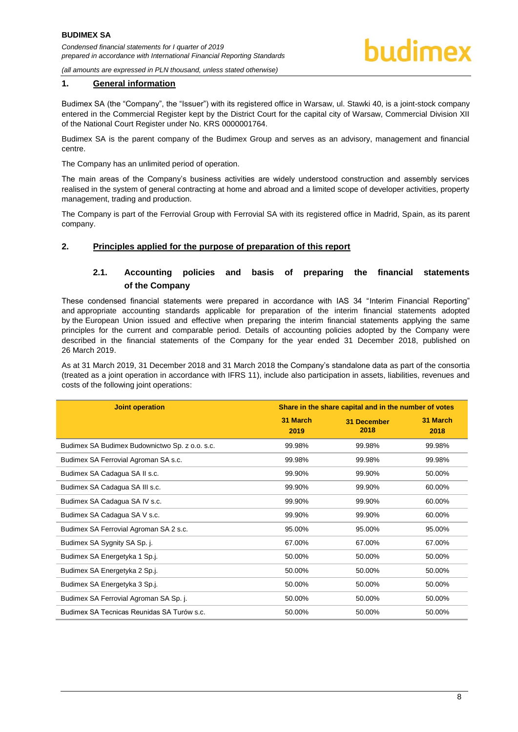

*(all amounts are expressed in PLN thousand, unless stated otherwise)*

#### **1. General information**

Budimex SA (the "Company", the "Issuer") with its registered office in Warsaw, ul. Stawki 40, is a joint-stock company entered in the Commercial Register kept by the District Court for the capital city of Warsaw, Commercial Division XII of the National Court Register under No. KRS 0000001764.

Budimex SA is the parent company of the Budimex Group and serves as an advisory, management and financial centre.

The Company has an unlimited period of operation.

The main areas of the Company's business activities are widely understood construction and assembly services realised in the system of general contracting at home and abroad and a limited scope of developer activities, property management, trading and production.

The Company is part of the Ferrovial Group with Ferrovial SA with its registered office in Madrid, Spain, as its parent company.

#### <span id="page-8-1"></span><span id="page-8-0"></span>**2. Principles applied for the purpose of preparation of this report**

#### **2.1. Accounting policies and basis of preparing the financial statements of the Company**

These condensed financial statements were prepared in accordance with IAS 34 "Interim Financial Reporting" and appropriate accounting standards applicable for preparation of the interim financial statements adopted by the European Union issued and effective when preparing the interim financial statements applying the same principles for the current and comparable period. Details of accounting policies adopted by the Company were described in the financial statements of the Company for the year ended 31 December 2018, published on 26 March 2019.

As at 31 March 2019, 31 December 2018 and 31 March 2018 the Company's standalone data as part of the consortia (treated as a joint operation in accordance with IFRS 11), include also participation in assets, liabilities, revenues and costs of the following joint operations:

| <b>Joint operation</b>                         | Share in the share capital and in the number of votes |                            |                  |  |
|------------------------------------------------|-------------------------------------------------------|----------------------------|------------------|--|
|                                                | 31 March<br>2019                                      | <b>31 December</b><br>2018 | 31 March<br>2018 |  |
| Budimex SA Budimex Budownictwo Sp. z o.o. s.c. | 99.98%                                                | 99.98%                     | 99.98%           |  |
| Budimex SA Ferrovial Agroman SA s.c.           | 99.98%                                                | 99.98%                     | 99.98%           |  |
| Budimex SA Cadagua SA II s.c.                  | 99.90%                                                | 99.90%                     | 50.00%           |  |
| Budimex SA Cadagua SA III s.c.                 | 99.90%                                                | 99.90%                     | 60.00%           |  |
| Budimex SA Cadagua SA IV s.c.                  | 99.90%                                                | 99.90%                     | 60.00%           |  |
| Budimex SA Cadagua SA V s.c.                   | 99.90%                                                | 99.90%                     | 60.00%           |  |
| Budimex SA Ferrovial Agroman SA 2 s.c.         | 95.00%                                                | 95.00%                     | 95.00%           |  |
| Budimex SA Sygnity SA Sp. j.                   | 67.00%                                                | 67.00%                     | 67.00%           |  |
| Budimex SA Energetyka 1 Sp.j.                  | 50.00%                                                | 50.00%                     | 50.00%           |  |
| Budimex SA Energetyka 2 Sp.j.                  | 50.00%                                                | 50.00%                     | 50.00%           |  |
| Budimex SA Energetyka 3 Sp.j.                  | 50.00%                                                | 50.00%                     | 50.00%           |  |
| Budimex SA Ferrovial Agroman SA Sp. j.         | 50.00%                                                | 50.00%                     | 50.00%           |  |
| Budimex SA Tecnicas Reunidas SA Turów s.c.     | 50.00%                                                | 50.00%                     | 50.00%           |  |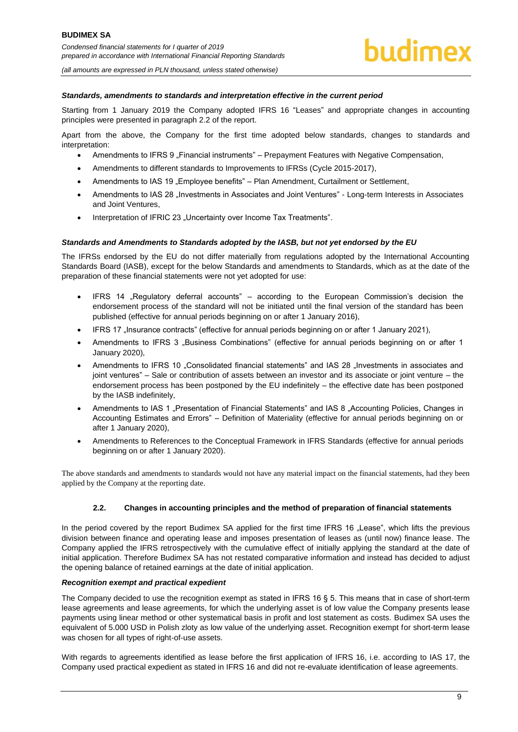#### *Standards, amendments to standards and interpretation effective in the current period*

Starting from 1 January 2019 the Company adopted IFRS 16 "Leases" and appropriate changes in accounting principles were presented in paragraph 2.2 of the report.

Apart from the above, the Company for the first time adopted below standards, changes to standards and interpretation:

- Amendments to IFRS 9 "Financial instruments" Prepayment Features with Negative Compensation,
- Amendments to different standards to Improvements to IFRSs (Cycle 2015-2017),
- Amendments to IAS 19 "Employee benefits" Plan Amendment, Curtailment or Settlement,
- Amendments to IAS 28 "Investments in Associates and Joint Ventures" Long-term Interests in Associates and Joint Ventures,
- Interpretation of IFRIC 23 "Uncertainty over Income Tax Treatments".

#### *Standards and Amendments to Standards adopted by the IASB, but not yet endorsed by the EU*

The IFRSs endorsed by the EU do not differ materially from regulations adopted by the International Accounting Standards Board (IASB), except for the below Standards and amendments to Standards, which as at the date of the preparation of these financial statements were not yet adopted for use:

- IFRS 14 "Regulatory deferral accounts" according to the European Commission's decision the endorsement process of the standard will not be initiated until the final version of the standard has been published (effective for annual periods beginning on or after 1 January 2016),
- IFRS 17 "Insurance contracts" (effective for annual periods beginning on or after 1 January 2021),
- Amendments to IFRS 3 "Business Combinations" (effective for annual periods beginning on or after 1 January 2020),
- Amendments to IFRS 10 "Consolidated financial statements" and IAS 28 "Investments in associates and joint ventures" – Sale or contribution of assets between an investor and its associate or joint venture – the endorsement process has been postponed by the EU indefinitely – the effective date has been postponed by the IASB indefinitely,
- Amendments to IAS 1 "Presentation of Financial Statements" and IAS 8 "Accounting Policies, Changes in Accounting Estimates and Errors" – Definition of Materiality (effective for annual periods beginning on or after 1 January 2020),
- Amendments to References to the Conceptual Framework in IFRS Standards (effective for annual periods beginning on or after 1 January 2020).

The above standards and amendments to standards would not have any material impact on the financial statements, had they been applied by the Company at the reporting date.

#### **2.2. Changes in accounting principles and the method of preparation of financial statements**

<span id="page-9-0"></span>In the period covered by the report Budimex SA applied for the first time IFRS 16 "Lease", which lifts the previous division between finance and operating lease and imposes presentation of leases as (until now) finance lease. The Company applied the IFRS retrospectively with the cumulative effect of initially applying the standard at the date of initial application. Therefore Budimex SA has not restated comparative information and instead has decided to adjust the opening balance of retained earnings at the date of initial application.

#### *Recognition exempt and practical expedient*

The Company decided to use the recognition exempt as stated in IFRS 16 § 5. This means that in case of short-term lease agreements and lease agreements, for which the underlying asset is of low value the Company presents lease payments using linear method or other systematical basis in profit and lost statement as costs. Budimex SA uses the equivalent of 5.000 USD in Polish zloty as low value of the underlying asset. Recognition exempt for short-term lease was chosen for all types of right-of-use assets.

With regards to agreements identified as lease before the first application of IFRS 16, i.e. according to IAS 17, the Company used practical expedient as stated in IFRS 16 and did not re-evaluate identification of lease agreements.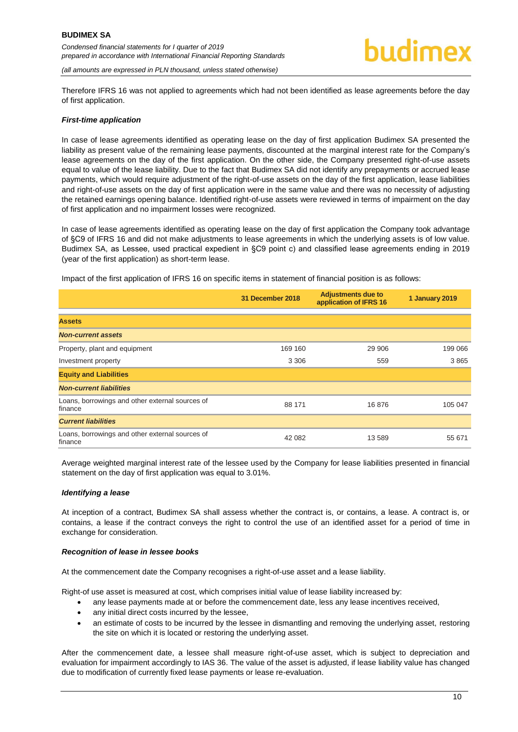

*(all amounts are expressed in PLN thousand, unless stated otherwise)*

Therefore IFRS 16 was not applied to agreements which had not been identified as lease agreements before the day of first application.

#### *First-time application*

In case of lease agreements identified as operating lease on the day of first application Budimex SA presented the liability as present value of the remaining lease payments, discounted at the marginal interest rate for the Company's lease agreements on the day of the first application. On the other side, the Company presented right-of-use assets equal to value of the lease liability. Due to the fact that Budimex SA did not identify any prepayments or accrued lease payments, which would require adjustment of the right-of-use assets on the day of the first application, lease liabilities and right-of-use assets on the day of first application were in the same value and there was no necessity of adjusting the retained earnings opening balance. Identified right-of-use assets were reviewed in terms of impairment on the day of first application and no impairment losses were recognized.

In case of lease agreements identified as operating lease on the day of first application the Company took advantage of §C9 of IFRS 16 and did not make adjustments to lease agreements in which the underlying assets is of low value. Budimex SA, as Lessee, used practical expedient in §C9 point c) and classified lease agreements ending in 2019 (year of the first application) as short-term lease.

Impact of the first application of IFRS 16 on specific items in statement of financial position is as follows:

|                                                            | 31 December 2018 | <b>Adjustments due to</b><br>application of IFRS 16 | 1 January 2019 |
|------------------------------------------------------------|------------------|-----------------------------------------------------|----------------|
| <b>Assets</b>                                              |                  |                                                     |                |
| <b>Non-current assets</b>                                  |                  |                                                     |                |
| Property, plant and equipment                              | 169 160          | 29 906                                              | 199 066        |
| Investment property                                        | 3 3 0 6          | 559                                                 | 3865           |
| <b>Equity and Liabilities</b>                              |                  |                                                     |                |
| <b>Non-current liabilities</b>                             |                  |                                                     |                |
| Loans, borrowings and other external sources of<br>finance | 88 171           | 16876                                               | 105 047        |
| <b>Current liabilities</b>                                 |                  |                                                     |                |
| Loans, borrowings and other external sources of<br>finance | 42 082           | 13 589                                              | 55 671         |

Average weighted marginal interest rate of the lessee used by the Company for lease liabilities presented in financial statement on the day of first application was equal to 3.01%.

#### *Identifying a lease*

At inception of a contract, Budimex SA shall assess whether the contract is, or contains, a lease. A contract is, or contains, a lease if the contract conveys the right to control the use of an identified asset for a period of time in exchange for consideration.

#### *Recognition of lease in lessee books*

At the commencement date the Company recognises a right-of-use asset and a lease liability.

Right-of use asset is measured at cost, which comprises initial value of lease liability increased by:

- any lease payments made at or before the commencement date, less any lease incentives received,
- any initial direct costs incurred by the lessee,
- an estimate of costs to be incurred by the lessee in dismantling and removing the underlying asset, restoring the site on which it is located or restoring the underlying asset.

After the commencement date, a lessee shall measure right-of-use asset, which is subject to depreciation and evaluation for impairment accordingly to IAS 36. The value of the asset is adjusted, if lease liability value has changed due to modification of currently fixed lease payments or lease re-evaluation.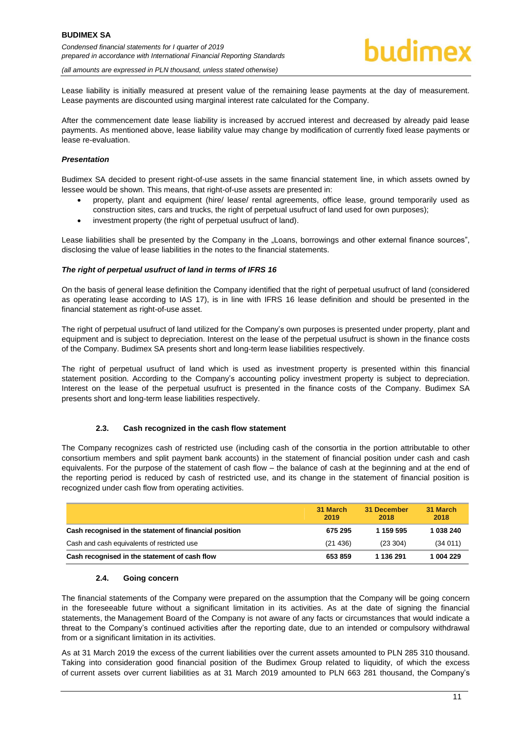*(all amounts are expressed in PLN thousand, unless stated otherwise)*

Lease liability is initially measured at present value of the remaining lease payments at the day of measurement. Lease payments are discounted using marginal interest rate calculated for the Company.

After the commencement date lease liability is increased by accrued interest and decreased by already paid lease payments. As mentioned above, lease liability value may change by modification of currently fixed lease payments or lease re-evaluation.

#### *Presentation*

Budimex SA decided to present right-of-use assets in the same financial statement line, in which assets owned by lessee would be shown. This means, that right-of-use assets are presented in:

- property, plant and equipment (hire/ lease/ rental agreements, office lease, ground temporarily used as construction sites, cars and trucks, the right of perpetual usufruct of land used for own purposes);
- investment property (the right of perpetual usufruct of land).

Lease liabilities shall be presented by the Company in the "Loans, borrowings and other external finance sources", disclosing the value of lease liabilities in the notes to the financial statements.

#### *The right of perpetual usufruct of land in terms of IFRS 16*

On the basis of general lease definition the Company identified that the right of perpetual usufruct of land (considered as operating lease according to IAS 17), is in line with IFRS 16 lease definition and should be presented in the financial statement as right-of-use asset.

The right of perpetual usufruct of land utilized for the Company's own purposes is presented under property, plant and equipment and is subject to depreciation. Interest on the lease of the perpetual usufruct is shown in the finance costs of the Company. Budimex SA presents short and long-term lease liabilities respectively.

The right of perpetual usufruct of land which is used as investment property is presented within this financial statement position. According to the Company's accounting policy investment property is subject to depreciation. Interest on the lease of the perpetual usufruct is presented in the finance costs of the Company. Budimex SA presents short and long-term lease liabilities respectively.

#### **2.3. Cash recognized in the cash flow statement**

<span id="page-11-0"></span>The Company recognizes cash of restricted use (including cash of the consortia in the portion attributable to other consortium members and split payment bank accounts) in the statement of financial position under cash and cash equivalents. For the purpose of the statement of cash flow – the balance of cash at the beginning and at the end of the reporting period is reduced by cash of restricted use, and its change in the statement of financial position is recognized under cash flow from operating activities.

|                                                        | 31 March<br>2019 | 31 December<br>2018 | 31 March<br>2018 |
|--------------------------------------------------------|------------------|---------------------|------------------|
| Cash recognised in the statement of financial position | 675 295          | 1 159 595           | 1 038 240        |
| Cash and cash equivalents of restricted use            | (21436)          | (23, 304)           | (34011)          |
| Cash recognised in the statement of cash flow          | 653859           | 1 136 291           | 1 004 229        |

#### **2.4. Going concern**

<span id="page-11-1"></span>The financial statements of the Company were prepared on the assumption that the Company will be going concern in the foreseeable future without a significant limitation in its activities. As at the date of signing the financial statements, the Management Board of the Company is not aware of any facts or circumstances that would indicate a threat to the Company's continued activities after the reporting date, due to an intended or compulsory withdrawal from or a significant limitation in its activities.

As at 31 March 2019 the excess of the current liabilities over the current assets amounted to PLN 285 310 thousand. Taking into consideration good financial position of the Budimex Group related to liquidity, of which the excess of current assets over current liabilities as at 31 March 2019 amounted to PLN 663 281 thousand, the Company's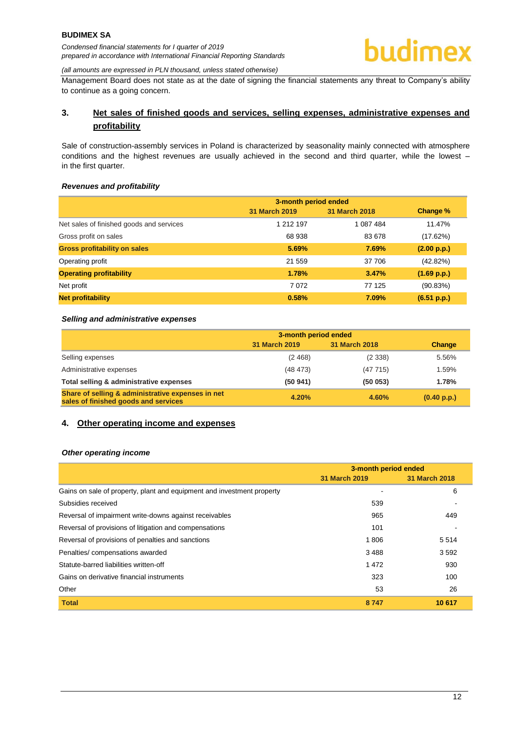Management Board does not state as at the date of signing the financial statements any threat to Company's ability to continue as a going concern.

#### <span id="page-12-0"></span>**3. Net sales of finished goods and services, selling expenses, administrative expenses and profitability**

Sale of construction-assembly services in Poland is characterized by seasonality mainly connected with atmosphere conditions and the highest revenues are usually achieved in the second and third quarter, while the lowest – in the first quarter.

#### *Revenues and profitability*

|                                          | 3-month period ended |               |             |
|------------------------------------------|----------------------|---------------|-------------|
|                                          | 31 March 2019        | 31 March 2018 | Change %    |
| Net sales of finished goods and services | 1 212 197            | 1 087 484     | 11.47%      |
| Gross profit on sales                    | 68 938               | 83 678        | (17.62%)    |
| <b>Gross profitability on sales</b>      | 5.69%                | 7.69%         | (2.00 p.p.) |
| Operating profit                         | 21 559               | 37 706        | (42.82%)    |
| <b>Operating profitability</b>           | 1.78%                | 3.47%         | (1.69 p.p.) |
| Net profit                               | 7072                 | 77 125        | (90.83%)    |
| <b>Net profitability</b>                 | 0.58%                | 7.09%         | (6.51 p.p.) |

#### *Selling and administrative expenses*

|                                                                                           | 3-month period ended |               |             |
|-------------------------------------------------------------------------------------------|----------------------|---------------|-------------|
|                                                                                           | 31 March 2019        | 31 March 2018 | Change      |
| Selling expenses                                                                          | (2, 468)             | (2338)        | 5.56%       |
| Administrative expenses                                                                   | (48, 473)            | (47715)       | 1.59%       |
| Total selling & administrative expenses                                                   | (50941)              | (50053)       | 1.78%       |
| Share of selling & administrative expenses in net<br>sales of finished goods and services | 4.20%                | 4.60%         | (0.40 p.p.) |

#### <span id="page-12-1"></span>**4. Other operating income and expenses**

#### *Other operating income*

|                                                                        | 3-month period ended |               |
|------------------------------------------------------------------------|----------------------|---------------|
|                                                                        | 31 March 2019        | 31 March 2018 |
| Gains on sale of property, plant and equipment and investment property |                      | 6             |
| Subsidies received                                                     | 539                  |               |
| Reversal of impairment write-downs against receivables                 | 965                  | 449           |
| Reversal of provisions of litigation and compensations                 | 101                  |               |
| Reversal of provisions of penalties and sanctions                      | 1806                 | 5514          |
| Penalties/compensations awarded                                        | 3488                 | 3592          |
| Statute-barred liabilities written-off                                 | 1472                 | 930           |
| Gains on derivative financial instruments                              | 323                  | 100           |
| Other                                                                  | 53                   | 26            |
| <b>Total</b>                                                           | 8747                 | 10 617        |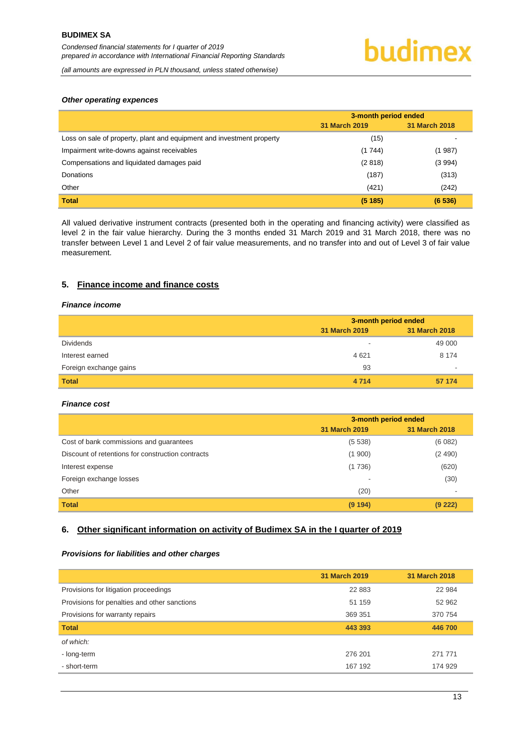*(all amounts are expressed in PLN thousand, unless stated otherwise)*

#### *Other operating expences*

|                                                                       | 3-month period ended |               |
|-----------------------------------------------------------------------|----------------------|---------------|
|                                                                       | <b>31 March 2019</b> | 31 March 2018 |
| Loss on sale of property, plant and equipment and investment property | (15)                 |               |
| Impairment write-downs against receivables                            | (1744)               | (1 987)       |
| Compensations and liquidated damages paid                             | (2818)               | (3994)        |
| Donations                                                             | (187)                | (313)         |
| Other                                                                 | (421)                | (242)         |
| <b>Total</b>                                                          | (5185)               | (6536)        |

All valued derivative instrument contracts (presented both in the operating and financing activity) were classified as level 2 in the fair value hierarchy. During the 3 months ended 31 March 2019 and 31 March 2018, there was no transfer between Level 1 and Level 2 of fair value measurements, and no transfer into and out of Level 3 of fair value measurement.

#### <span id="page-13-0"></span>**5. Finance income and finance costs**

#### *Finance income*

|                        | 3-month period ended |               |
|------------------------|----------------------|---------------|
|                        | 31 March 2019        | 31 March 2018 |
| <b>Dividends</b>       | -                    | 49 000        |
| Interest earned        | 4621                 | 8 1 7 4       |
| Foreign exchange gains | 93                   |               |
| <b>Total</b>           | 4 7 1 4              | 57 174        |

#### *Finance cost*

|                                                   | 3-month period ended |               |
|---------------------------------------------------|----------------------|---------------|
|                                                   | 31 March 2019        | 31 March 2018 |
| Cost of bank commissions and guarantees           | (5538)               | (6082)        |
| Discount of retentions for construction contracts | (1900)               | (2490)        |
| Interest expense                                  | (1736)               | (620)         |
| Foreign exchange losses                           | -                    | (30)          |
| Other                                             | (20)                 |               |
| <b>Total</b>                                      | (9194)               | (9 222)       |

#### <span id="page-13-1"></span>**6. Other significant information on activity of Budimex SA in the I quarter of 2019**

#### *Provisions for liabilities and other charges*

|                                              | 31 March 2019 | <b>31 March 2018</b> |
|----------------------------------------------|---------------|----------------------|
| Provisions for litigation proceedings        | 22 8 83       | 22 984               |
| Provisions for penalties and other sanctions | 51 159        | 52 962               |
| Provisions for warranty repairs              | 369 351       | 370 754              |
| <b>Total</b>                                 | 443 393       | 446 700              |
| of which:                                    |               |                      |
| - long-term                                  | 276 201       | 271 771              |
| - short-term                                 | 167 192       | 174 929              |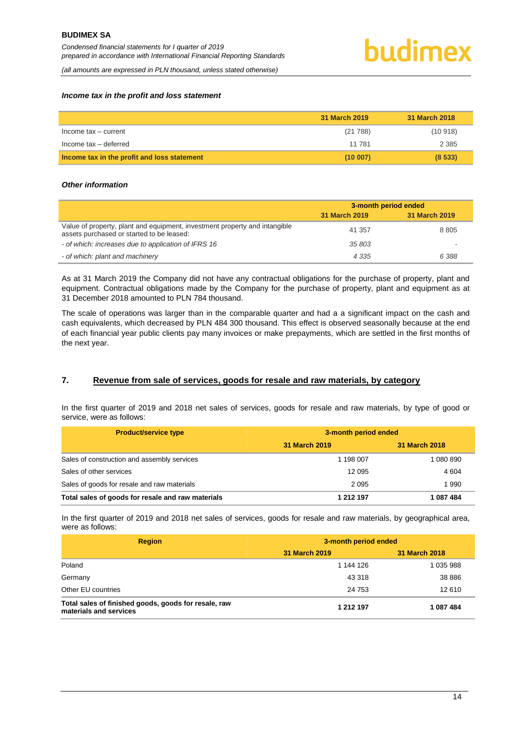#### *Income tax in the profit and loss statement*

|                                             | 31 March 2019 | 31 March 2018 |
|---------------------------------------------|---------------|---------------|
| Income tax - current                        | (21788)       | (10918)       |
| Income tax - deferred                       | 11 781        | 2 3 8 5       |
| Income tax in the profit and loss statement | (10007)       | (8533)        |

#### *Other information*

|                                                                                                                         | 3-month period ended |               |
|-------------------------------------------------------------------------------------------------------------------------|----------------------|---------------|
|                                                                                                                         | 31 March 2019        | 31 March 2019 |
| Value of property, plant and equipment, investment property and intangible<br>assets purchased or started to be leased: | 41 357               | 8 8 0 5       |
| - of which: increases due to application of IFRS 16                                                                     | 35 803               |               |
| - of which: plant and machinery                                                                                         | 4 3 3 5              | 6 388         |

As at 31 March 2019 the Company did not have any contractual obligations for the purchase of property, plant and equipment. Contractual obligations made by the Company for the purchase of property, plant and equipment as at 31 December 2018 amounted to PLN 784 thousand.

The scale of operations was larger than in the comparable quarter and had a a significant impact on the cash and cash equivalents, which decreased by PLN 484 300 thousand. This effect is observed seasonally because at the end of each financial year public clients pay many invoices or make prepayments, which are settled in the first months of the next year.

#### <span id="page-14-0"></span>**7. Revenue from sale of services, goods for resale and raw materials, by category**

In the first quarter of 2019 and 2018 net sales of services, goods for resale and raw materials, by type of good or service, were as follows:

| <b>Product/service type</b>                       |               | 3-month period ended |  |
|---------------------------------------------------|---------------|----------------------|--|
|                                                   | 31 March 2019 | 31 March 2018        |  |
| Sales of construction and assembly services       | 1 198 007     | 1 080 890            |  |
| Sales of other services                           | 12 095        | 4 604                |  |
| Sales of goods for resale and raw materials       | 2095          | 1990                 |  |
| Total sales of goods for resale and raw materials | 1 212 197     | 1087484              |  |

In the first quarter of 2019 and 2018 net sales of services, goods for resale and raw materials, by geographical area, were as follows:

| <b>Region</b>                                                                  | 3-month period ended |               |
|--------------------------------------------------------------------------------|----------------------|---------------|
|                                                                                | 31 March 2019        | 31 March 2018 |
| Poland                                                                         | 1 144 126            | 1 035 988     |
| Germany                                                                        | 43 318               | 38 8 8 6      |
| Other EU countries                                                             | 24 753               | 12 610        |
| Total sales of finished goods, goods for resale, raw<br>materials and services | 1 212 197            | 1 087 484     |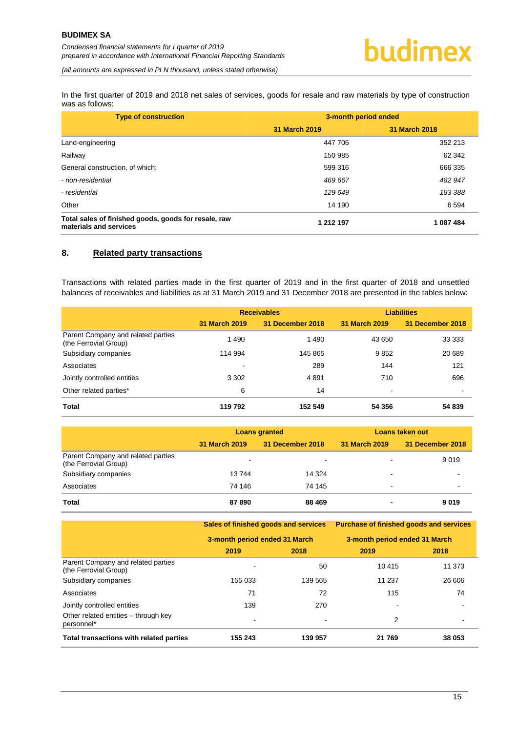In the first quarter of 2019 and 2018 net sales of services, goods for resale and raw materials by type of construction was as follows:

| <b>Type of construction</b>                                                    | 3-month period ended |               |
|--------------------------------------------------------------------------------|----------------------|---------------|
|                                                                                | 31 March 2019        | 31 March 2018 |
| Land-engineering                                                               | 447 706              | 352 213       |
| Railway                                                                        | 150 985              | 62 342        |
| General construction, of which:                                                | 599 316              | 666 335       |
| - non-residential                                                              | 469 667              | 482 947       |
| - residential                                                                  | 129 649              | 183 388       |
| Other                                                                          | 14 190               | 6 5 9 4       |
| Total sales of finished goods, goods for resale, raw<br>materials and services | 1 212 197            | 1 087 484     |

#### <span id="page-15-0"></span>**8. Related party transactions**

Transactions with related parties made in the first quarter of 2019 and in the first quarter of 2018 and unsettled balances of receivables and liabilities as at 31 March 2019 and 31 December 2018 are presented in the tables below:

|                                                             | <b>Receivables</b> |                  | <b>Liabilities</b> |                  |
|-------------------------------------------------------------|--------------------|------------------|--------------------|------------------|
|                                                             | 31 March 2019      | 31 December 2018 | 31 March 2019      | 31 December 2018 |
| Parent Company and related parties<br>(the Ferrovial Group) | 1490               | 1490             | 43 650             | 33 333           |
| Subsidiary companies                                        | 114 994            | 145 865          | 9852               | 20 689           |
| Associates                                                  | $\,$               | 289              | 144                | 121              |
| Jointly controlled entities                                 | 3 3 0 2            | 4 8 9 1          | 710                | 696              |
| Other related parties*                                      | 6                  | 14               | ٠                  |                  |
| <b>Total</b>                                                | 119 792            | 152 549          | 54 356             | 54 839           |

|                                                             | <b>Loans granted</b> |                  | Loans taken out |                  |
|-------------------------------------------------------------|----------------------|------------------|-----------------|------------------|
|                                                             | 31 March 2019        | 31 December 2018 | 31 March 2019   | 31 December 2018 |
| Parent Company and related parties<br>(the Ferrovial Group) | ۰                    | -                |                 | 9 0 1 9          |
| Subsidiary companies                                        | 13744                | 14 3 24          |                 |                  |
| Associates                                                  | 74 146               | 74 145           | -               | $\blacksquare$   |
| <b>Total</b>                                                | 87890                | 88 4 69          |                 | 9019             |

**Sales of finished goods and services Purchase of finished goods and services**

|                                                             | 3-month period ended 31 March |                          | 3-month period ended 31 March |        |  |
|-------------------------------------------------------------|-------------------------------|--------------------------|-------------------------------|--------|--|
|                                                             | 2019                          | 2018                     | 2019                          | 2018   |  |
| Parent Company and related parties<br>(the Ferrovial Group) | $\overline{\phantom{0}}$      | 50                       | 10 4 15                       | 11 373 |  |
| Subsidiary companies                                        | 155 033                       | 139 565                  | 11 237                        | 26 606 |  |
| Associates                                                  | 71                            | 72                       | 115                           | 74     |  |
| Jointly controlled entities                                 | 139                           | 270                      |                               |        |  |
| Other related entities - through key<br>personnel*          | $\blacksquare$                | $\overline{\phantom{0}}$ | 2                             |        |  |
| Total transactions with related parties                     | 155 243                       | 139 957                  | 21 769                        | 38 053 |  |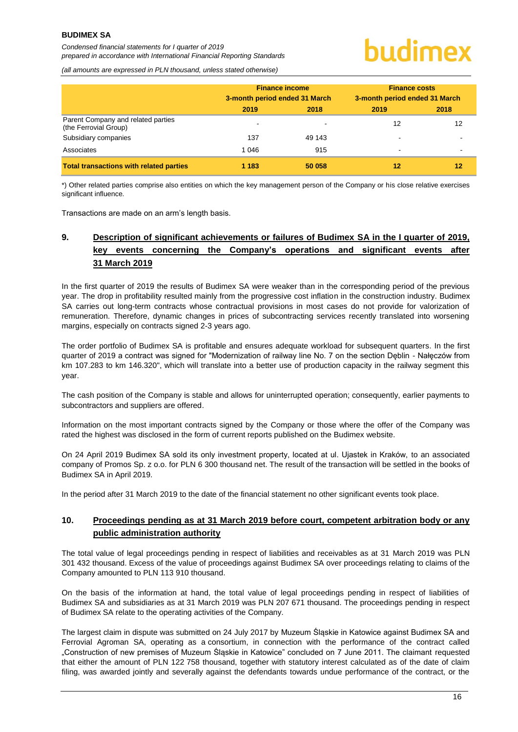## hudimex

*(all amounts are expressed in PLN thousand, unless stated otherwise)*

|                                                             | <b>Finance income</b><br>3-month period ended 31 March |        | <b>Finance costs</b><br>3-month period ended 31 March |      |
|-------------------------------------------------------------|--------------------------------------------------------|--------|-------------------------------------------------------|------|
|                                                             | 2019                                                   | 2018   | 2019                                                  | 2018 |
| Parent Company and related parties<br>(the Ferrovial Group) | $\overline{\phantom{0}}$                               |        | 12                                                    | 12   |
| Subsidiary companies                                        | 137                                                    | 49 143 |                                                       |      |
| Associates                                                  | 1 0 4 6                                                | 915    | -                                                     |      |
| <b>Total transactions with related parties</b>              | 1 183                                                  | 50 058 | 12                                                    | 12   |

\*) Other related parties comprise also entities on which the key management person of the Company or his close relative exercises significant influence.

Transactions are made on an arm's length basis.

#### <span id="page-16-0"></span>**9. Description of significant achievements or failures of Budimex SA in the I quarter of 2019, key events concerning the Company's operations and significant events after 31 March 2019**

In the first quarter of 2019 the results of Budimex SA were weaker than in the corresponding period of the previous year. The drop in profitability resulted mainly from the progressive cost inflation in the construction industry. Budimex SA carries out long-term contracts whose contractual provisions in most cases do not provide for valorization of remuneration. Therefore, dynamic changes in prices of subcontracting services recently translated into worsening margins, especially on contracts signed 2-3 years ago.

The order portfolio of Budimex SA is profitable and ensures adequate workload for subsequent quarters. In the first quarter of 2019 a contract was signed for "Modernization of railway line No. 7 on the section Dęblin - Nałęczów from km 107.283 to km 146.320", which will translate into a better use of production capacity in the railway segment this year.

The cash position of the Company is stable and allows for uninterrupted operation; consequently, earlier payments to subcontractors and suppliers are offered.

Information on the most important contracts signed by the Company or those where the offer of the Company was rated the highest was disclosed in the form of current reports published on the Budimex website.

On 24 April 2019 Budimex SA sold its only investment property, located at ul. Ujastek in Kraków, to an associated company of Promos Sp. z o.o. for PLN 6 300 thousand net. The result of the transaction will be settled in the books of Budimex SA in April 2019.

In the period after 31 March 2019 to the date of the financial statement no other significant events took place.

#### <span id="page-16-1"></span>**10. Proceedings pending as at 31 March 2019 before court, competent arbitration body or any public administration authority**

The total value of legal proceedings pending in respect of liabilities and receivables as at 31 March 2019 was PLN 301 432 thousand. Excess of the value of proceedings against Budimex SA over proceedings relating to claims of the Company amounted to PLN 113 910 thousand.

On the basis of the information at hand, the total value of legal proceedings pending in respect of liabilities of Budimex SA and subsidiaries as at 31 March 2019 was PLN 207 671 thousand. The proceedings pending in respect of Budimex SA relate to the operating activities of the Company.

The largest claim in dispute was submitted on 24 July 2017 by Muzeum Śląskie in Katowice against Budimex SA and Ferrovial Agroman SA, operating as a consortium, in connection with the performance of the contract called "Construction of new premises of Muzeum Śląskie in Katowice" concluded on 7 June 2011. The claimant requested that either the amount of PLN 122 758 thousand, together with statutory interest calculated as of the date of claim filing, was awarded jointly and severally against the defendants towards undue performance of the contract, or the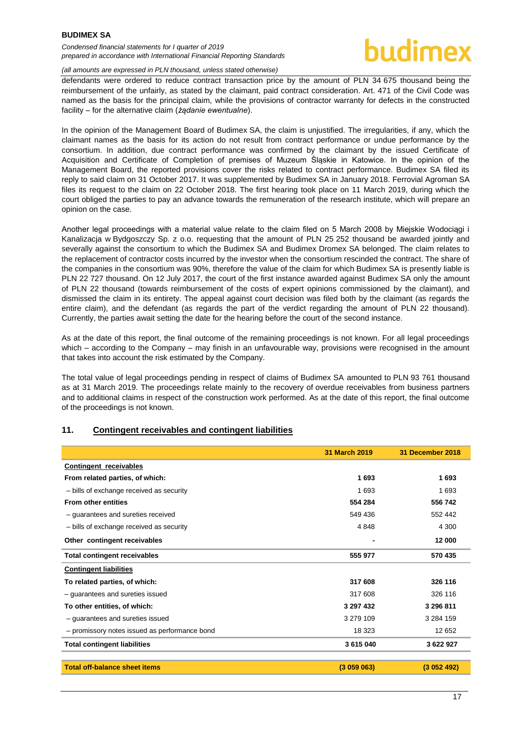#### *Condensed financial statements for I quarter of 2019 prepared in accordance with International Financial Reporting Standards*

#### *(all amounts are expressed in PLN thousand, unless stated otherwise)*

defendants were ordered to reduce contract transaction price by the amount of PLN 34 675 thousand being the reimbursement of the unfairly, as stated by the claimant, paid contract consideration. Art. 471 of the Civil Code was named as the basis for the principal claim, while the provisions of contractor warranty for defects in the constructed facility – for the alternative claim (*żądanie ewentualne*).

In the opinion of the Management Board of Budimex SA, the claim is unjustified. The irregularities, if any, which the claimant names as the basis for its action do not result from contract performance or undue performance by the consortium. In addition, due contract performance was confirmed by the claimant by the issued Certificate of Acquisition and Certificate of Completion of premises of Muzeum Śląskie in Katowice. In the opinion of the Management Board, the reported provisions cover the risks related to contract performance. Budimex SA filed its reply to said claim on 31 October 2017. It was supplemented by Budimex SA in January 2018. Ferrovial Agroman SA files its request to the claim on 22 October 2018. The first hearing took place on 11 March 2019, during which the court obliged the parties to pay an advance towards the remuneration of the research institute, which will prepare an opinion on the case.

Another legal proceedings with a material value relate to the claim filed on 5 March 2008 by Miejskie Wodociągi i Kanalizacja w Bydgoszczy Sp. z o.o. requesting that the amount of PLN 25 252 thousand be awarded jointly and severally against the consortium to which the Budimex SA and Budimex Dromex SA belonged. The claim relates to the replacement of contractor costs incurred by the investor when the consortium rescinded the contract. The share of the companies in the consortium was 90%, therefore the value of the claim for which Budimex SA is presently liable is PLN 22 727 thousand. On 12 July 2017, the court of the first instance awarded against Budimex SA only the amount of PLN 22 thousand (towards reimbursement of the costs of expert opinions commissioned by the claimant), and dismissed the claim in its entirety. The appeal against court decision was filed both by the claimant (as regards the entire claim), and the defendant (as regards the part of the verdict regarding the amount of PLN 22 thousand). Currently, the parties await setting the date for the hearing before the court of the second instance.

As at the date of this report, the final outcome of the remaining proceedings is not known. For all legal proceedings which – according to the Company – may finish in an unfavourable way, provisions were recognised in the amount that takes into account the risk estimated by the Company.

The total value of legal proceedings pending in respect of claims of Budimex SA amounted to PLN 93 761 thousand as at 31 March 2019. The proceedings relate mainly to the recovery of overdue receivables from business partners and to additional claims in respect of the construction work performed. As at the date of this report, the final outcome of the proceedings is not known.

#### <span id="page-17-0"></span>**11. Contingent receivables and contingent liabilities**

|                                               | 31 March 2019 | 31 December 2018 |
|-----------------------------------------------|---------------|------------------|
| <b>Contingent receivables</b>                 |               |                  |
| From related parties, of which:               | 1693          | 1693             |
| - bills of exchange received as security      | 1 693         | 1693             |
| <b>From other entities</b>                    | 554 284       | 556 742          |
| - guarantees and sureties received            | 549 436       | 552 442          |
| - bills of exchange received as security      | 4848          | 4 300            |
| Other contingent receivables                  |               | 12 000           |
| <b>Total contingent receivables</b>           | 555 977       | 570 435          |
| <b>Contingent liabilities</b>                 |               |                  |
| To related parties, of which:                 | 317 608       | 326 116          |
| - guarantees and sureties issued              | 317 608       | 326 116          |
| To other entities, of which:                  | 3 297 432     | 3 296 811        |
| - guarantees and sureties issued              | 3 279 109     | 3 2 8 4 1 5 9    |
| - promissory notes issued as performance bond | 18 3 23       | 12 652           |
| <b>Total contingent liabilities</b>           | 3 615 040     | 3 622 927        |
| <b>Total off-balance sheet items</b>          | (3059063)     | (3052492)        |